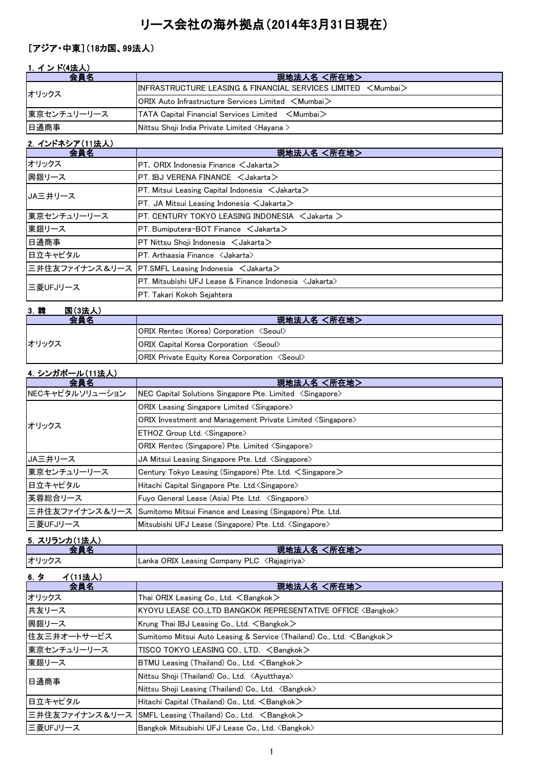# リース会社の海外拠点(2014年3月31日現在)

### [アジア・中東](18カ国、99法人)

#### 1. インド(4法人)

| 会員名         | 現地法人名 <所在地>                                                             |
|-------------|-------------------------------------------------------------------------|
| オリックス       | $\textsf{INFRASTRUCTURE LEASING & FINANCIAL SERVICES LIMITED & Mumbai}$ |
|             | $ ORIX$ Auto Infrastructure Services Limited $\leq$ Mumbai $\geq$       |
| 東京センチュリーリース | $\vert$ TATA Capital Financial Services Limited $\leq$ Mumbai $>$       |
| 日通商事        | Nittsu Shoji India Private Limited ≺Hayana >                            |

#### <u>2. インドネシア(11法人)</u> 会員名 現地法人名 <所在地> オリックス PT. ORIX Indonesia Finance <Jakarta> 興銀リース PT. IBJ VERENA FINANCE くJakarta> PT. Mitsui Leasing Capital Indonesia  $\lt$  Jakarta $>$ PT. JA Mitsui Leasing Indonesia  $\lt$ Jakarta $>$ 東京センチュリーリース |PT. CENTURY TOKYO LEASING INDONESIA <Jakarta > 東銀リース PT. Bumiputera-BOT Finance くJakarta> 日通商事 PT Nittsu Shoji Indonesia <Jakarta> **日立キャピタル PT. Arthaasia Finance <Jakarta>** 三井住友ファイナンス&リース PT.SMFL Leasing Indonesia 〈Jakarta〉 PT. Mitsubishi UFJ Lease & Finance Indonesia <Jakarta> PT. Takari Kokoh Sejahtera JA三井リース 三菱UFJリース

| 3. 韓  | 国(3法人)                                                       |                                                        |
|-------|--------------------------------------------------------------|--------------------------------------------------------|
|       | 会昌名                                                          | 現地法人名 <所在地>                                            |
|       |                                                              | <b>ORIX Rentec (Korea) Corporation <seoul></seoul></b> |
| オリックス | <b>ORIX Capital Korea Corporation <seoul></seoul></b>        |                                                        |
|       | <b>ORIX Private Equity Korea Corporation <seoul></seoul></b> |                                                        |

#### 4.シンガポール(11法人)

| 会員名             | 現地法人名 <所在地>                                                                   |
|-----------------|-------------------------------------------------------------------------------|
| NECキャピタルソリューション | $ NEC$ Capital Solutions Singapore Pte. Limited $\langle$ Singapore $\rangle$ |
| オリックス           | <b>ORIX</b> Leasing Singapore Limited $\langle$ Singapore $\rangle$           |
|                 | ORIX Investment and Management Private Limited <singapore></singapore>        |
|                 | ETHOZ Group Ltd. <singapore></singapore>                                      |
|                 | ORIX Rentec (Singapore) Pte. Limited <singapore></singapore>                  |
| JA三井リース         | JA Mitsui Leasing Singapore Pte. Ltd. <singapore></singapore>                 |
| 東京センチュリーリース     | Century Tokyo Leasing (Singapore) Pte. Ltd. $\leq$ Singapore $\geq$           |
| 日立キャピタル         | Hitachi Capital Singapore Pte. Ltd. (Singapore)                               |
| 芙蓉総合リース         | Fuyo General Lease (Asia) Pte. Ltd. <singapore></singapore>                   |
|                 | 三井住友ファイナンス&リース Sumitomo Mitsui Finance and Leasing (Singapore) Pte. Ltd.      |
| 三菱UFJリース        | Mitsubishi UFJ Lease (Singapore) Pte. Ltd. <singapore></singapore>            |

#### 5.スリランカ(1法人)

|             | 所在地<br>現地<br>بر وساعت                                         |
|-------------|---------------------------------------------------------------|
| <b>オリック</b> | . ORIX Leasing C<br>, Company PLC<br>√Rajagiriya.<br>.∟anka ′ |

#### 6.タ イ(11法人) **会員名 インファン しょうしょう こうしょう りょう 現地法人名 <所在地>** オリックス Thai ORIX Leasing Co., Ltd. <Bangkok> 共友リース KYOYU LEASE CO.,LTD BANGKOK REPRESENTATIVE OFFICE <Bangkok> 興銀リース Krung Thai IBJ Leasing Co., Ltd. <Bangkok> 住友三井オートサービス Sumitomo Mitsui Auto Leasing & Service (Thailand) Co., Ltd. <Bangkok> 東京センチュリーリース | TISCO TOKYO LEASING CO., LTD. <Bangkok> 東銀リース BTMU Leasing (Thailand) Co., Ltd. <Bangkok> Nittsu Shoji (Thailand) Co., Ltd. <Ayutthaya> Nittsu Shoji Leasing (Thailand) Co., Ltd. <Bangkok> 日立キャピタル | Hitachi Capital (Thailand) Co., Ltd. <Bangkok> 三井住友ファイナンス&リース SMFL Leasing (Thailand) Co., Ltd. 〈Bangkok〉 三菱UFJリース Bangkok Mitsubishi UFJ Lease Co., Ltd. <Bangkok> 日通商事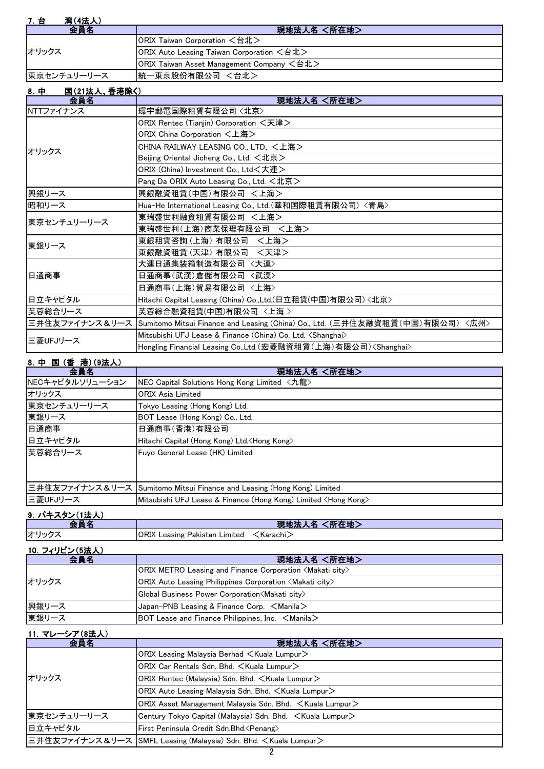| <b>湾(4法人)</b><br>7. 台 |                                           |
|-----------------------|-------------------------------------------|
|                       | 現地法人名 <所在地>                               |
|                       | ORIX Taiwan Corporation <台北>              |
| オリックス                 | ORIX Auto Leasing Taiwan Corporation <台北> |
|                       | ORIX Taiwan Asset Management Company <台北> |
| 東京センチュリーリース           | 統一東京股份有限公司 <台北>                           |

| 8. 中<br>国(21法人、香港除く) |                                                                                              |
|----------------------|----------------------------------------------------------------------------------------------|
| 会員名                  | 現地法人名 <所在地>                                                                                  |
| NTTファイナンス            | 環宇郵電国際租賃有限公司〈北京〉                                                                             |
|                      | ORIX Rentec (Tianjin) Corporation <天津>                                                       |
|                      | ORIX China Corporation <上海>                                                                  |
| オリックス                | CHINA RAILWAY LEASING CO., LTD. <上海>                                                         |
|                      | Beijing Oriental Jicheng Co., Ltd. <北京>                                                      |
|                      | ORIX (China) Investment Co., Ltd<大連>                                                         |
|                      | Pang Da ORIX Auto Leasing Co., Ltd. <北京>                                                     |
| 興銀リース                | 興銀融資租賃(中国)有限公司 <上海>                                                                          |
| 昭和リース                | Hua-He International Leasing Co., Ltd.(華和国際租賃有限公司)〈青島〉                                       |
| 東京センチュリーリース          | 東瑞盛世利融資租賃有限公司 <上海>                                                                           |
|                      | 東瑞盛世利(上海)商業保理有限公司 <上海>                                                                       |
| 東銀リース                | 東銀租賃咨詢(上海) 有限公司 <上海>                                                                         |
|                      | 東銀融資租賃(天津) 有限公司 <天津>                                                                         |
|                      | 大連日通集装箱制造有限公司〈大連〉                                                                            |
| 日通商事                 | 日通商事(武漢)倉儲有限公司 〈武漢〉                                                                          |
|                      | 日通商事(上海)貿易有限公司 〈上海〉                                                                          |
| 日立キャピタル              | Hitachi Capital Leasing (China) Co.,Ltd.(日立租賃(中国)有限公司) <北京>                                  |
| 芙蓉総合リース              | 芙蓉綜合融資租賃(中国)有限公司 〈上海 〉                                                                       |
|                      | 三井住友ファイナンス&リース  Sumitomo Mitsui Finance and Leasing (China) Co., Ltd. (三井住友融資租賃(中国)有限公司)<広州> |
| 三菱UFJリース             | Mitsubishi UFJ Lease & Finance (China) Co. Ltd. <shanghai></shanghai>                        |
|                      | Hongling Financial Leasing Co.,Ltd.(宏菱融資租賃(上海)有限公司) <shanghai></shanghai>                    |

## 8.中 国 (香 港)(9法人)

| 会員名             | 現地法人名 <所在地>                                                              |
|-----------------|--------------------------------------------------------------------------|
| NECキャピタルソリューション | NEC Capital Solutions Hong Kong Limited 〈九龍〉                             |
| オリックス           | <b>ORIX Asia Limited</b>                                                 |
| 東京センチュリーリース     | Tokyo Leasing (Hong Kong) Ltd.                                           |
| 東銀リース           | BOT Lease (Hong Kong) Co., Ltd.                                          |
| 日通商事            | 日通商事(香港)有限公司                                                             |
| 日立キャピタル         | Hitachi Capital (Hong Kong) Ltd. <hong kong=""></hong>                   |
| 芙蓉総合リース         | Fuyo General Lease (HK) Limited                                          |
|                 |                                                                          |
|                 |                                                                          |
|                 | 三井住友ファイナンス&リース Sumitomo Mitsui Finance and Leasing (Hong Kong) Limited   |
| 三菱UFJリース        | Mitsubishi UFJ Lease & Finance (Hong Kong) Limited <hong kong=""></hong> |

# 9.パキスタン(1法人)

| __  |                                        | .<br><b>ANTAL MU</b><br>.<br>- 15 |
|-----|----------------------------------------|-----------------------------------|
| オリッ | ORIX<br>Leasing<br>∟ımıted<br>Pakistan | Karachi                           |
|     |                                        |                                   |

#### 10.フィリピン(5法人)

| 会員名   | 現地法人名 <所在地>                                                                |
|-------|----------------------------------------------------------------------------|
| オリックス | ORIX METRO Leasing and Finance Corporation <makati city=""></makati>       |
|       | <b>ORIX Auto Leasing Philippines Corporation <makati city=""></makati></b> |
|       | Global Business Power Corporation <makati city=""></makati>                |
| 興銀リース | Japan-PNB Leasing & Finance Corp. $\leq$ Manila $\geq$                     |
| 東銀リース | BOT Lease and Finance Philippines, Inc. $\leq$ Manila $\geq$               |

## 11. マレーシア(8法人)

| 会員名         | 現地法人名 <所在地>                                                                 |
|-------------|-----------------------------------------------------------------------------|
| オリックス       | ORIX Leasing Malaysia Berhad $\lt$ Kuala Lumpur $\gt$                       |
|             | ORIX Car Rentals Sdn. Bhd. < Kuala Lumpur>                                  |
|             | ORIX Rentec (Malaysia) Sdn. Bhd. < Kuala Lumpur>                            |
|             | ORIX Auto Leasing Malaysia Sdn. Bhd. <kuala lumpur=""></kuala>              |
|             | ORIX Asset Management Malaysia Sdn. Bhd. $\leq$ Kuala Lumpur $\geq$         |
| 東京センチュリーリース | Century Tokyo Capital (Malaysia) Sdn. Bhd. <kuala lumpur=""></kuala>        |
| 日立キャピタル     | First Peninsula Credit Sdn.Bhd. < Penang>                                   |
|             | 三井住友ファイナンス&リース  SMFL Leasing (Malaysia) Sdn. Bhd. <kuala lumpur=""></kuala> |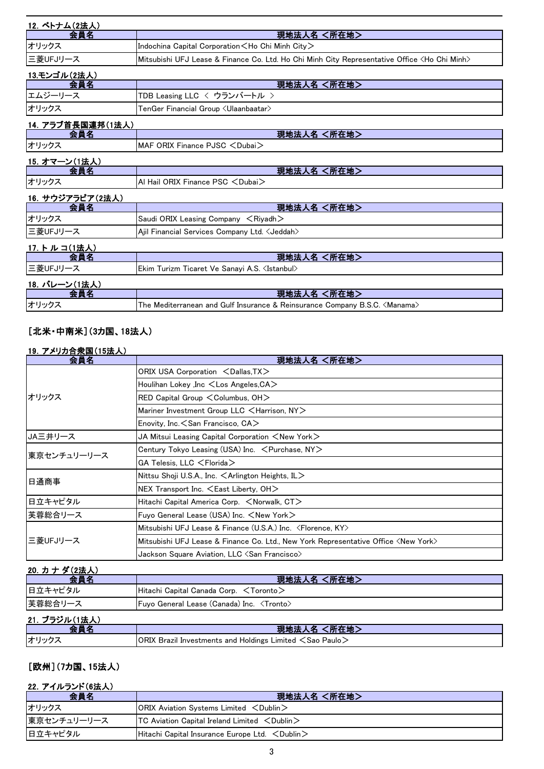| 12. ベトナム(2法人)       |                                                                                                         |
|---------------------|---------------------------------------------------------------------------------------------------------|
| 会員名                 | 現地法人名 <所在地>                                                                                             |
| オリックス               | Indochina Capital Corporation <ho chi="" city="" minh=""></ho>                                          |
| 三菱UFJリース            | Mitsubishi UFJ Lease & Finance Co. Ltd. Ho Chi Minh City Representative Office <ho chi="" minh=""></ho> |
| 13.モンゴル(2法人)        |                                                                                                         |
| 会員名                 | 現地法人名 <所在地>                                                                                             |
| エムジーリース             | TDB Leasing LLC 〈 ウランバートル 〉                                                                             |
| オリックス               | $\sf {TenGer}$ Financial $\sf{Group}$ $\sf {U}$ laanbaatar $\sf {\lambda}$                              |
| 14. アラブ首長国連邦(1法人)   |                                                                                                         |
| 会員名                 | 現地法人名 <所在地>                                                                                             |
| オリックス               | MAF ORIX Finance PJSC <dubai></dubai>                                                                   |
| 15. オマーン(1法人)       |                                                                                                         |
| 会員名                 | 現地法人名 <所在地>                                                                                             |
| オリックス               | Al Hail ORIX Finance PSC < Dubai>                                                                       |
| 16. サウジアラビア(2法人)    |                                                                                                         |
| <u> 会員名</u>         | 現地法人名 <所在地>                                                                                             |
| オリックス               | Saudi ORIX Leasing Company $\leq$ Riyadh $>$                                                            |
| 三菱UFJリース            | Ajil Financial Services Company Ltd. < Jeddah>                                                          |
| <u>17. トルコ(1法人)</u> |                                                                                                         |
| 会員名                 | 現地法人名 <所在地>                                                                                             |
| 三菱UFJリース            | Ekim Turizm Ticaret Ve Sanayi A.S. <istanbul></istanbul>                                                |
| 18. バレーン(1法人)       |                                                                                                         |
| <u> 会員名</u>         | 現地法人名 <所在地>                                                                                             |
| オリックス               | The Mediterranean and Gulf Insurance & Reinsurance Company B.S.C. <manama></manama>                     |

## [北米・中南米](3カ国、18法人)

## 19.アメリカ合衆国(15法人)

| 会員名         | 現地法人名 <所在地>                                                                                 |  |
|-------------|---------------------------------------------------------------------------------------------|--|
| オリックス       | ORIX USA Corporation <dallas, tx=""></dallas,>                                              |  |
|             | Houlihan Lokey , Inc <los angeles,="" ca=""></los>                                          |  |
|             | $RED$ Capital Group $\leq$ Columbus, OH $>$                                                 |  |
|             | Mariner Investment Group LLC <harrison, ny=""></harrison,>                                  |  |
|             | Enovity, Inc. $\leq$ San Francisco, CA $>$                                                  |  |
| JA三井リース     | JA Mitsui Leasing Capital Corporation $\leq$ New York $\geq$                                |  |
| 東京センチュリーリース | Century Tokyo Leasing (USA) Inc. < Purchase, NY>                                            |  |
|             | $GA$ Telesis, LLC $\leq$ Florida $>$                                                        |  |
| 日通商事        | Nittsu Shoji U.S.A., Inc. $\leq$ Arlington Heights, IL $>$                                  |  |
|             | NEX Transport Inc. <east liberty,="" oh=""></east>                                          |  |
| 日立キャピタル     | Hitachi Capital America Corp. <norwalk, ct=""></norwalk,>                                   |  |
| 芙蓉総合リース     | Fuyo General Lease (USA) Inc. $\leq$ New York $\geq$                                        |  |
| 三菱UFJリース    | Mitsubishi UFJ Lease & Finance $(U.S.A.)$ Inc. $\langle$ Florence, KY $\rangle$             |  |
|             | Mitsubishi UFJ Lease & Finance Co. Ltd., New York Representative Office <new york=""></new> |  |
|             | Jackson Square Aviation, LLC $\triangle$ San Francisco $\triangleright$                     |  |

## 20. カナダ(2法人)

| 会員名           | 現地法人名 <所在地>                                         |
|---------------|-----------------------------------------------------|
| 日立キャピタル       | $ $ Hitachi Capital Canada Corp. $\leq$ Toronto $>$ |
| 芙蓉総合リース       | Fuyo General Lease (Canada) Inc. <tronto></tronto>  |
| 21. ブラジル(1法人) |                                                     |

|      | (所在地)<br>現地法<br>ᆺᆇ                                                                                  |
|------|-----------------------------------------------------------------------------------------------------|
| オリック | $\overline{O}$ ORIX Brazil Investments and Holdings Limited $\overline{O}$ Sao Paulo $\overline{O}$ |

# [欧州](7カ国、15法人)

## 22.アイルランド(6法人)

| 会員名         | 現地法人名 <所在地>                                                      |
|-------------|------------------------------------------------------------------|
| オリックス       | $ ORIX$ Aviation Systems Limited $\langle$ Dublin $\rangle$      |
| 東京センチュリーリース | $TC$ Aviation Capital Ireland Limited $\langle$ Dublin $\rangle$ |
| 日立キャピタル     | Hitachi Capital Insurance Europe Ltd. $\lt$ Dublin $\gt$         |